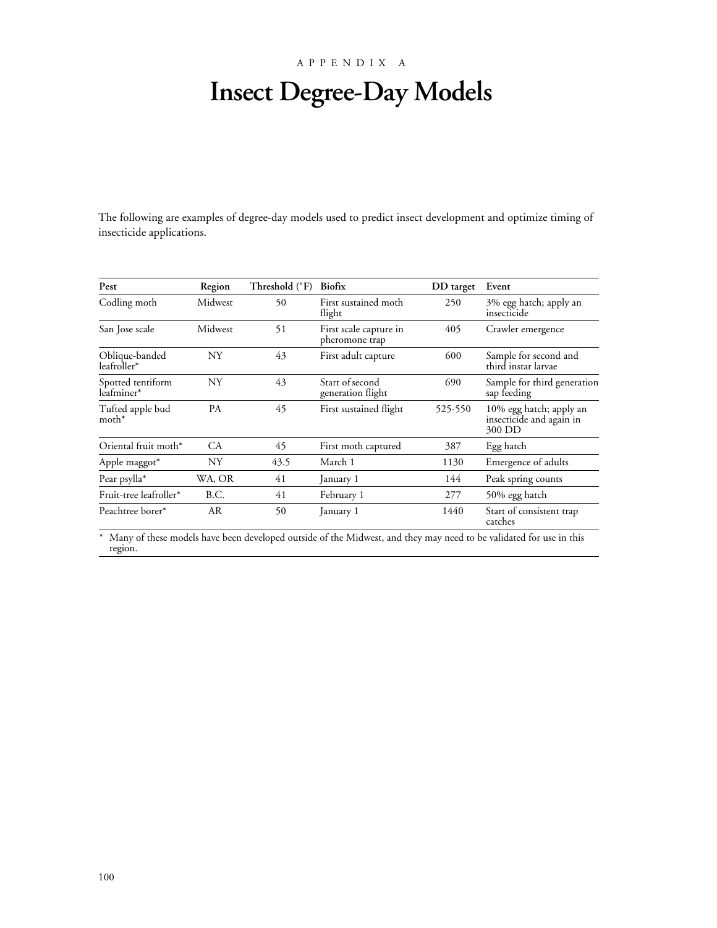### APPENDIX A

# **Insect Degree-Day Models**

The following are examples of degree-day models used to predict insect development and optimize timing of insecticide applications.

| Pest                                    | Region      | Threshold (°F) | <b>Biofix</b>                            | DD target | Event                                                         |
|-----------------------------------------|-------------|----------------|------------------------------------------|-----------|---------------------------------------------------------------|
| Codling moth                            | Midwest     | 50             | First sustained moth<br>flight           | 250       | 3% egg hatch; apply an<br>insecticide                         |
| San Jose scale                          | Midwest     | 51             | First scale capture in<br>pheromone trap | 405       | Crawler emergence                                             |
| Oblique-banded<br>leafroller*           | NY          | 43             | First adult capture                      | 600       | Sample for second and<br>third instar larvae                  |
| Spotted tentiform<br>leafminer*         | NY          | 43             | Start of second<br>generation flight     | 690       | Sample for third generation<br>sap feeding                    |
| $\operatorname{Tufted}$ apple bud moth* | <b>PA</b>   | 45             | First sustained flight                   | 525-550   | 10% egg hatch; apply an<br>insecticide and again in<br>300 DD |
| Oriental fruit moth*                    | CA.         | 45             | First moth captured                      | 387       | Egg hatch                                                     |
| Apple maggot*                           | NY          | 43.5           | March 1                                  | 1130      | Emergence of adults                                           |
| Pear psylla*                            | WA, OR      | 41             | January 1                                | 144       | Peak spring counts                                            |
| Fruit-tree leafroller*                  | <b>B.C.</b> | 41             | February 1                               | 277       | 50% egg hatch                                                 |
| Peachtree borer*                        | <b>AR</b>   | 50             | January 1                                | 1440      | Start of consistent trap<br>catches                           |

\* Many of these models have been developed outside of the Midwest, and they may need to be validated for use in this region.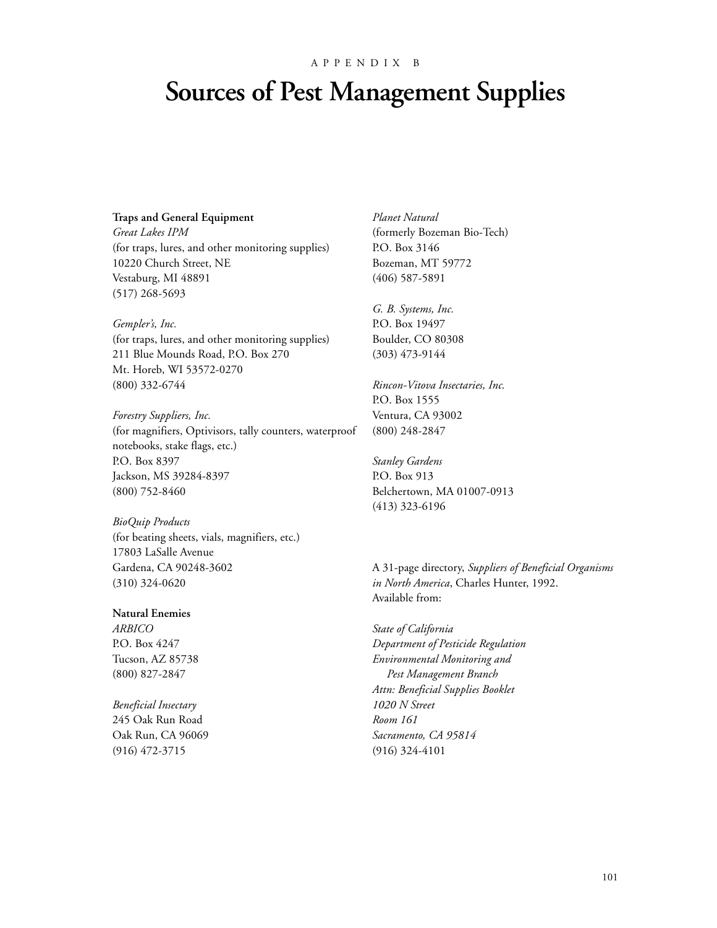#### APPENDIX B

# **Sources of Pest Management Supplies**

#### **Traps and General Equipment**

*Great Lakes IPM* (for traps, lures, and other monitoring supplies) 10220 Church Street, NE Vestaburg, MI 48891 (517) 268-5693

*Gempler's, Inc.* (for traps, lures, and other monitoring supplies) 211 Blue Mounds Road, P.O. Box 270 Mt. Horeb, WI 53572-0270 (800) 332-6744

*Forestry Suppliers, Inc.* (for magnifiers, Optivisors, tally counters, waterproof notebooks, stake flags, etc.) P.O. Box 8397 Jackson, MS 39284-8397 (800) 752-8460

*BioQuip Products* (for beating sheets, vials, magnifiers, etc.) 17803 LaSalle Avenue Gardena, CA 90248-3602 (310) 324-0620

### **Natural Enemies**

*ARBICO* P.O. Box 4247 Tucson, AZ 85738 (800) 827-2847

*Beneficial Insectary* 245 Oak Run Road Oak Run, CA 96069 (916) 472-3715

*Planet Natural* (formerly Bozeman Bio-Tech) P.O. Box 3146 Bozeman, MT 59772 (406) 587-5891

*G. B. Systems, Inc.* P.O. Box 19497 Boulder, CO 80308 (303) 473-9144

*Rincon-Vitova Insectaries, Inc.* P.O. Box 1555 Ventura, CA 93002 (800) 248-2847

*Stanley Gardens* P.O. Box 913 Belchertown, MA 01007-0913 (413) 323-6196

A 31-page directory, *Suppliers of Beneficial Organisms in North America*, Charles Hunter, 1992. Available from:

*State of California Department of Pesticide Regulation Environmental Monitoring and Pest Management Branch Attn: Beneficial Supplies Booklet 1020 N Street Room 161 Sacramento, CA 95814* (916) 324-4101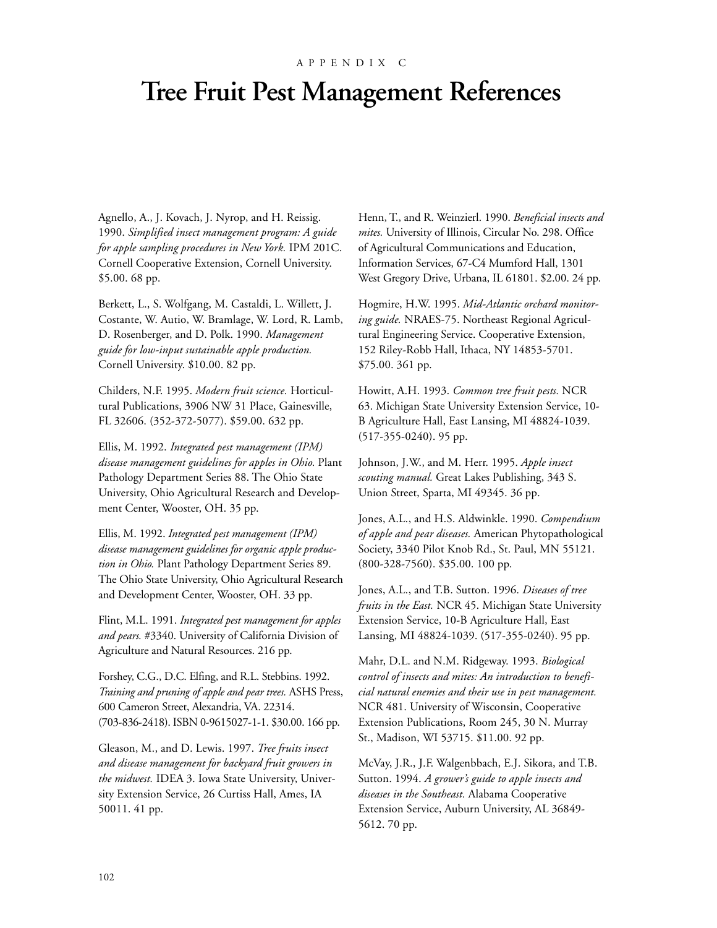#### APPENDIX C

## **Tree Fruit Pest Management References**

Agnello, A., J. Kovach, J. Nyrop, and H. Reissig. 1990. *Simplified insect management program: A guide for apple sampling procedures in New York.* IPM 201C. Cornell Cooperative Extension, Cornell University. \$5.00. 68 pp.

Berkett, L., S. Wolfgang, M. Castaldi, L. Willett, J. Costante, W. Autio, W. Bramlage, W. Lord, R. Lamb, D. Rosenberger, and D. Polk. 1990. *Management guide for low-input sustainable apple production.* Cornell University. \$10.00. 82 pp.

Childers, N.F. 1995. *Modern fruit science.* Horticultural Publications, 3906 NW 31 Place, Gainesville, FL 32606. (352-372-5077). \$59.00. 632 pp.

Ellis, M. 1992. *Integrated pest management (IPM) disease management guidelines for apples in Ohio.* Plant Pathology Department Series 88. The Ohio State University, Ohio Agricultural Research and Development Center, Wooster, OH. 35 pp.

Ellis, M. 1992. *Integrated pest management (IPM) disease management guidelines for organic apple production in Ohio.* Plant Pathology Department Series 89. The Ohio State University, Ohio Agricultural Research and Development Center, Wooster, OH. 33 pp.

Flint, M.L. 1991. *Integrated pest management for apples and pears.* #3340. University of California Division of Agriculture and Natural Resources. 216 pp.

Forshey, C.G., D.C. Elfing, and R.L. Stebbins. 1992. *Training and pruning of apple and pear trees.* ASHS Press, 600 Cameron Street, Alexandria, VA. 22314. (703-836-2418). ISBN 0-9615027-1-1. \$30.00. 166 pp.

Gleason, M., and D. Lewis. 1997. *Tree fruits insect and disease management for backyard fruit growers in the midwest.* IDEA 3. Iowa State University, University Extension Service, 26 Curtiss Hall, Ames, IA 50011. 41 pp.

Henn, T., and R. Weinzierl. 1990. *Beneficial insects and mites.* University of Illinois, Circular No. 298. Office of Agricultural Communications and Education, Information Services, 67-C4 Mumford Hall, 1301 West Gregory Drive, Urbana, IL 61801. \$2.00. 24 pp.

Hogmire, H.W. 1995. *Mid-Atlantic orchard monitoring guide.* NRAES-75. Northeast Regional Agricultural Engineering Service. Cooperative Extension, 152 Riley-Robb Hall, Ithaca, NY 14853-5701. \$75.00. 361 pp.

Howitt, A.H. 1993. *Common tree fruit pests.* NCR 63. Michigan State University Extension Service, 10- B Agriculture Hall, East Lansing, MI 48824-1039. (517-355-0240). 95 pp.

Johnson, J.W., and M. Herr. 1995. *Apple insect scouting manual.* Great Lakes Publishing, 343 S. Union Street, Sparta, MI 49345. 36 pp.

Jones, A.L., and H.S. Aldwinkle. 1990. *Compendium of apple and pear diseases.* American Phytopathological Society, 3340 Pilot Knob Rd., St. Paul, MN 55121. (800-328-7560). \$35.00. 100 pp.

Jones, A.L., and T.B. Sutton. 1996. *Diseases of tree fruits in the East.* NCR 45. Michigan State University Extension Service, 10-B Agriculture Hall, East Lansing, MI 48824-1039. (517-355-0240). 95 pp.

Mahr, D.L. and N.M. Ridgeway. 1993. *Biological control of insects and mites: An introduction to beneficial natural enemies and their use in pest management.* NCR 481. University of Wisconsin, Cooperative Extension Publications, Room 245, 30 N. Murray St., Madison, WI 53715. \$11.00. 92 pp.

McVay, J.R., J.F. Walgenbbach, E.J. Sikora, and T.B. Sutton. 1994. *A grower's guide to apple insects and diseases in the Southeast.* Alabama Cooperative Extension Service, Auburn University, AL 36849- 5612. 70 pp.